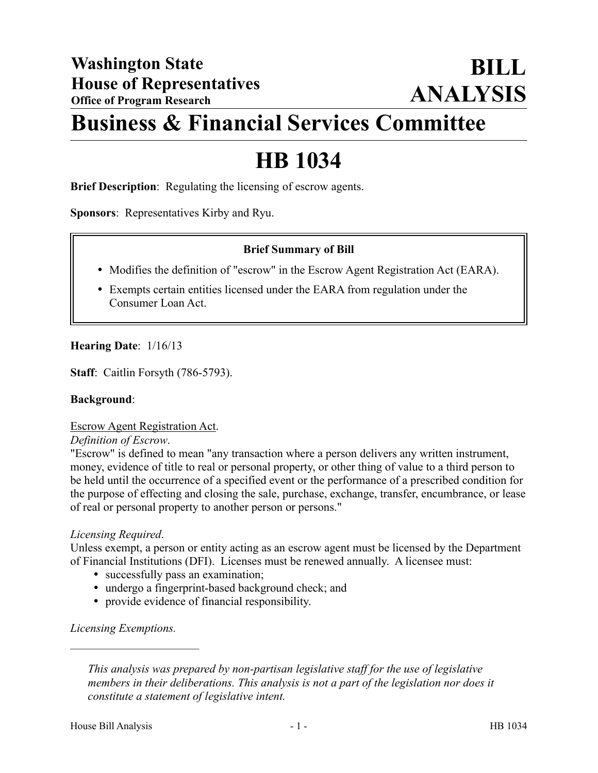# **Business & Financial Services Committee**

# **HB 1034**

**Brief Description**: Regulating the licensing of escrow agents.

**Sponsors**: Representatives Kirby and Ryu.

# **Brief Summary of Bill**

- Modifies the definition of "escrow" in the Escrow Agent Registration Act (EARA).
- Exempts certain entities licensed under the EARA from regulation under the Consumer Loan Act.

# **Hearing Date**: 1/16/13

**Staff**: Caitlin Forsyth (786-5793).

### **Background**:

### Escrow Agent Registration Act.

### *Definition of Escrow*.

"Escrow" is defined to mean "any transaction where a person delivers any written instrument, money, evidence of title to real or personal property, or other thing of value to a third person to be held until the occurrence of a specified event or the performance of a prescribed condition for the purpose of effecting and closing the sale, purchase, exchange, transfer, encumbrance, or lease of real or personal property to another person or persons."

### *Licensing Required*.

Unless exempt, a person or entity acting as an escrow agent must be licensed by the Department of Financial Institutions (DFI). Licenses must be renewed annually. A licensee must:

- successfully pass an examination;
- undergo a fingerprint-based background check; and
- provide evidence of financial responsibility.

# *Licensing Exemptions.*

––––––––––––––––––––––

*This analysis was prepared by non-partisan legislative staff for the use of legislative members in their deliberations. This analysis is not a part of the legislation nor does it constitute a statement of legislative intent.*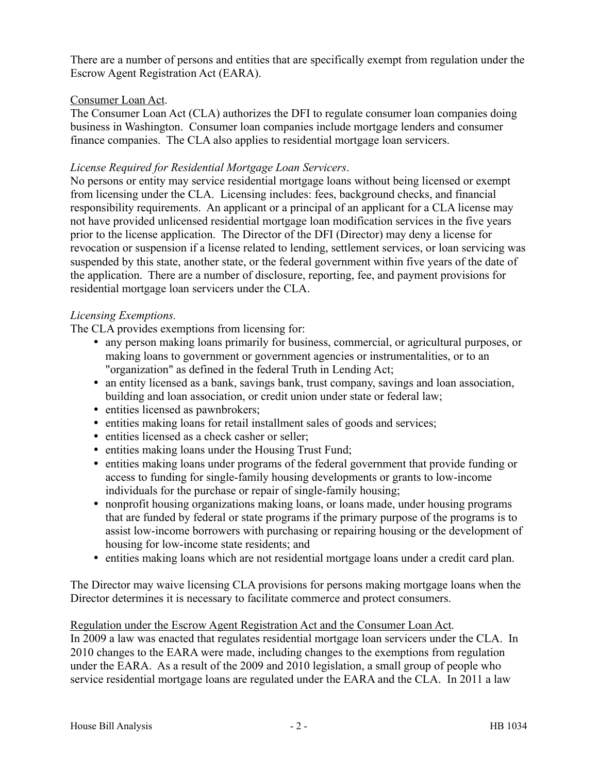There are a number of persons and entities that are specifically exempt from regulation under the Escrow Agent Registration Act (EARA).

# Consumer Loan Act.

The Consumer Loan Act (CLA) authorizes the DFI to regulate consumer loan companies doing business in Washington. Consumer loan companies include mortgage lenders and consumer finance companies. The CLA also applies to residential mortgage loan servicers.

# *License Required for Residential Mortgage Loan Servicers*.

No persons or entity may service residential mortgage loans without being licensed or exempt from licensing under the CLA. Licensing includes: fees, background checks, and financial responsibility requirements. An applicant or a principal of an applicant for a CLA license may not have provided unlicensed residential mortgage loan modification services in the five years prior to the license application. The Director of the DFI (Director) may deny a license for revocation or suspension if a license related to lending, settlement services, or loan servicing was suspended by this state, another state, or the federal government within five years of the date of the application. There are a number of disclosure, reporting, fee, and payment provisions for residential mortgage loan servicers under the CLA.

# *Licensing Exemptions.*

The CLA provides exemptions from licensing for:

- any person making loans primarily for business, commercial, or agricultural purposes, or making loans to government or government agencies or instrumentalities, or to an "organization" as defined in the federal Truth in Lending Act;
- an entity licensed as a bank, savings bank, trust company, savings and loan association, building and loan association, or credit union under state or federal law;
- entities licensed as pawnbrokers;
- entities making loans for retail installment sales of goods and services;
- entities licensed as a check casher or seller;
- entities making loans under the Housing Trust Fund;
- entities making loans under programs of the federal government that provide funding or access to funding for single-family housing developments or grants to low-income individuals for the purchase or repair of single-family housing;
- nonprofit housing organizations making loans, or loans made, under housing programs that are funded by federal or state programs if the primary purpose of the programs is to assist low-income borrowers with purchasing or repairing housing or the development of housing for low-income state residents; and
- entities making loans which are not residential mortgage loans under a credit card plan.

The Director may waive licensing CLA provisions for persons making mortgage loans when the Director determines it is necessary to facilitate commerce and protect consumers.

# Regulation under the Escrow Agent Registration Act and the Consumer Loan Act.

In 2009 a law was enacted that regulates residential mortgage loan servicers under the CLA. In 2010 changes to the EARA were made, including changes to the exemptions from regulation under the EARA. As a result of the 2009 and 2010 legislation, a small group of people who service residential mortgage loans are regulated under the EARA and the CLA. In 2011 a law